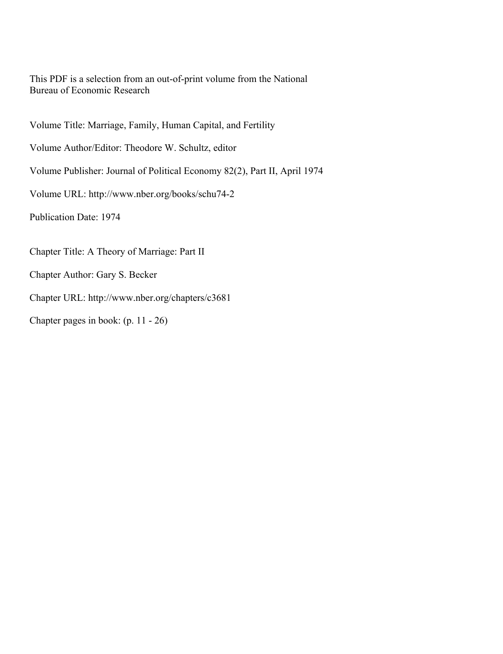This PDF is a selection from an out-of-print volume from the National Bureau of Economic Research

Volume Title: Marriage, Family, Human Capital, and Fertility

Volume Author/Editor: Theodore W. Schultz, editor

Volume Publisher: Journal of Political Economy 82(2), Part II, April 1974

Volume URL: http://www.nber.org/books/schu74-2

Publication Date: 1974

Chapter Title: A Theory of Marriage: Part II

Chapter Author: Gary S. Becker

Chapter URL: http://www.nber.org/chapters/c3681

Chapter pages in book: (p. 11 - 26)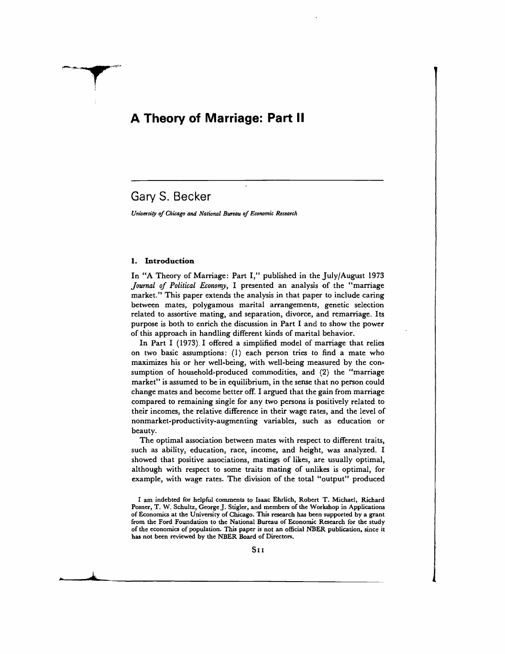# A Theory of Marriage: Part II

# Gary S. Becker

University of Chicago and National Bureau of Economic Research

# 1. Introduction

In "A Theory of Marriage: Part I," published in the July/August 1973 Journal of Political Economy, I presented an analysis of the "marriage market." This paper extends the analysis in that paper to include caring between mates, polygamous marital arrangements, genetic selection related to assortive mating, and separation, divorce, and remarriage. Its purpose is both to enrich the discussion in Part I and to show the power of this approach in handling different kinds of marital behavior.

In Part I (1973). I offered a simplified model of marriage that relies on two basic assumptions: (1) each person tries to find a mate who maximizes his or her well-being, with well-being measured by the consumption of household-produced commodities, and (2) the "marriage market" is assumed to be in equilibrium, in the sense that no person could change mates and become better off. I argued that the gain from marriage compared to remaining single for any two persons is positively related to their incomes, the relative difference in their wage rates, and the level of nonmarket-productivity-augmenting variables, such as education or beauty.

The optimal association between mates with respect to different traits, such as ability, education, race, income, and height, was analyzed. I showed that positive associations, matings of likes, are usually optimal, although with respect to some traits mating of unlikes is optimal, for example, with wage rates. The division of the total "output" produced

I am indebted for helpful comments to Isaac Ehrlich, Robert T. Michael, Richard Posner, T. W. Schultz, George J. Stigler, and members of the Workshop in Applications of Economics at the University of Chicago. This research has been supported by a grant from the Ford Foundation to the National Bureau of Economic Research for the study of the economics of population. This paper is not an official NBER publication, since it has not been reviewed by the NBER Board of Directors.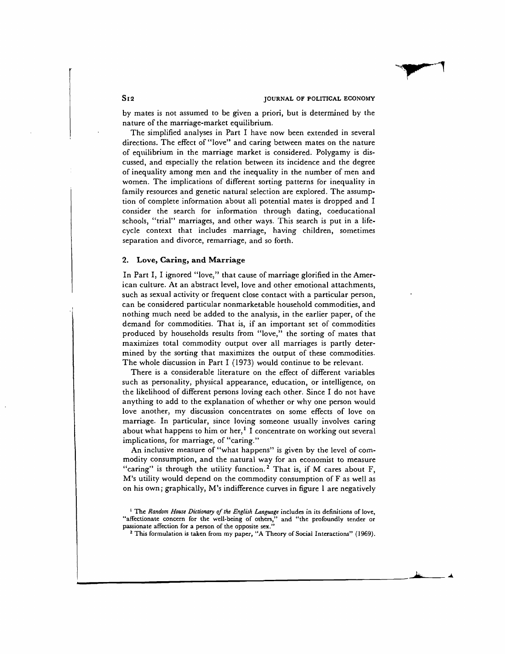by mates is not assumed to be given a priori, but is determined by the nature of the marriage-market equilibrium.

The simplified analyses in Part I have now been extended in several directions. The effect of "love" and caring between mates on the nature of equilibrium in the marriage market is considered. Polygamy is discussed, and especially the relation between its incidence and the degree of inequality among men and the inequality in the number of men and women. The implications of different sorting patterns for inequality in family resources and genetic natural selection are explored. The assumption of complete information about all potential mates is dropped and I consider the search for information through dating, coeducational schools, "trial" marriages, and other ways. This search is put in a lifecycle context that includes marriage, having children, sometimes separation and divorce, remarriage, and so forth.

# 2. Love, Caring, and Marriage

In Part I, I ignored "love," that cause of marriage glorified in the American culture. At an abstract level, love and other emotional attachments, such as sexual activity or frequent close contact with a particular person, can be considered particular nonmarketable household commodities, and nothing much need be added to the analysis, in the earlier paper, of the demand for commodities. That is, if an important set of commodities produced by households results from "love," the sorting of mates that maximizes total commodity output over all marriages is partly determined by the sorting that maximizes the output of these commodities. The whole discussion in Part I (1973) would continue to be relevant.

There is a considerable literature on the effect of different variables such as personality, physical appearance, education, or intelligence, on the likelihood of different persons loving each other. Since I do not have anything to add to the explanation of whether or why one person would love another, my discussion concentrates on some effects of love on marriage. In particular, since loving someone usually involves caring about what happens to him or her, $<sup>1</sup>$  I concentrate on working out several</sup> implications, for marriage, of "caring."

An inclusive measure of "what happens" is given by the level of commodity consumption, and the natural way for an economist to measure "caring" is through the utility function.<sup>2</sup> That is, if M cares about F, M's utility would depend on the commodity consumption of F as well as on his own; graphically, M's indifference curves in figure 1 are negatively

<sup>&</sup>lt;sup>1</sup> The Random House Dictionary of the English Language includes in its definitions of love, "affectionate concern for the well-being of others," and "the profoundly tender or passionate affection for a person of the opposite sex."

<sup>2</sup> This formulation is taken from my paper, "A Theory of Social Interactions" (1969).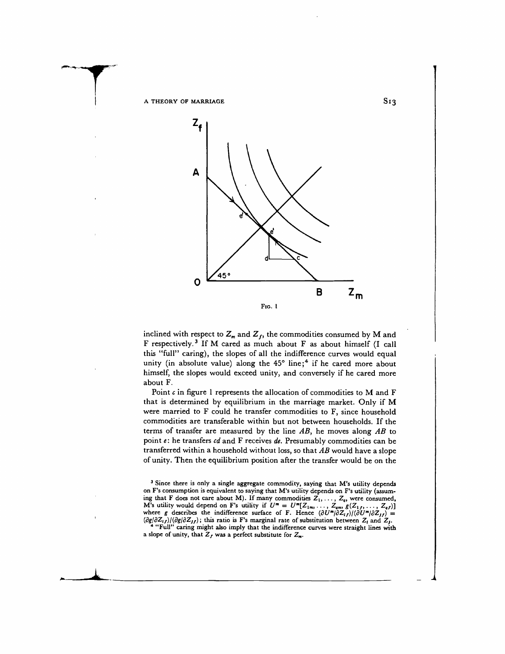

inclined with respect to  $Z_m$  and  $Z_f$ , the commodities consumed by M and F respectively.3 If M cared as much about F as about himself (I call this "full" caring), the slopes of all the indifference curves would equal unity (in absolute value) along the  $45^{\circ}$  line;<sup>4</sup> if he cared more about himself, the slopes would exceed unity, and conversely if he cared more about F.

Point  $c$  in figure 1 represents the allocation of commodities to M and F that is determined by equilibrium in the marriage market. Only if M were married to F could he transfer commodities to F, since household commodities are transferable within but not between households. If the terms of transfer are measured by the line  $AB$ , he moves along  $AB$  to point  $e$ : he transfers  $cd$  and  $F$  receives  $de$ . Presumably commodities can be transferred within a household without loss, so that  $AB$  would have a slope of unity. Then the equilibrium position after the transfer would be on the

<sup>3</sup> Since there is only a single aggregate commodity, saying that M's utility depends on F's consumption is equivalent to saying that M's utility depends on F's utility (assuming that F does not care about M). If many commodities  $Z_1, \ldots, Z_q$ , were consumed, M's utility would depend on F's utility if  $U^m = U^m[Z_{1m}, \ldots, Z_{qm}, g(Z_{1f}, \ldots, Z_{qf})]$ where g describes the indifference surface of F. Hence  $(\partial U^m/\partial Z_{ij})/(\partial U^m/\partial Z_{jj}) =$  $(\partial g/\partial Z_{if})/(\partial g/\partial Z_{if})$ ; this ratio is F's marginal rate of substitution between  $Z_i$  and  $Z_i$ .

<sup>4</sup> "Full" caring might also imply that the indifference curves were straight lines with a slope of unity, that  $Z_f$  was a perfect substitute for  $Z_m$ .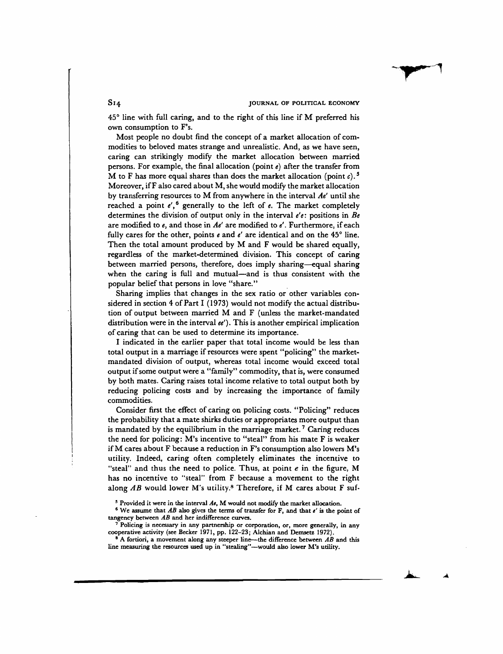45° line with full caring, and to the right of this line if M preferred his own consumption to F's.

Most people no doubt find the concept of a market allocation of commodities to beloved mates strange and unrealistic. And, as we have seen, caring can strikingly modify the market allocation between married persons. For example, the final allocation (point  $e$ ) after the transfer from M to F has more equal shares than does the market allocation (point  $c$ ).<sup>5</sup> Moreover, if F also cared about M, she would modify the market allocation by transferring resources to M from anywhere in the interval  $Ae'$  until she reached a point  $e'$ , <sup>6</sup> generally to the left of  $e$ . The market completely determines the division of output only in the interval  $e'e$ : positions in  $Be$ are modified to  $e$ , and those in  $Ae'$  are modified to  $e'$ . Furthermore, if each fully cares for the other, points  $e$  and  $e'$  are identical and on the 45° line. Then the total amount produced by M and F would be shared equally, regardless of the market-determined division. This concept of caring between married persons, therefore, does imply sharing—equal sharing when the caring is full and mutual—and is thus consistent with the popular belief that persons in love "share."

Sharing implies that changes in the sex ratio or other variables considered in section 4 of Part I (1973) would not modify the actual distribution of output between married M and F (unless the market-mandated distribution were in the interval ee'). This is another empirical implication of caring that can be used to determine its importance.

I indicated in the earlier paper that total income would be less than total output in a marriage if resources were spent "policing" the marketmandated division of output, whereas total income would exceed total output if some output were a "family" commodity, that is, were consumed by both mates. Caring raises total income relative to total output both by reducing policing costs and by increasing the importance of family commodities.

Consider first the effect of caring on policing costs. "Policing" reduces the probability that a mate shirks duties or appropriates more output than is mandated by the equilibrium in the marriage market.<sup>7</sup> Caring reduces the need for policing: M's incentive to "steal" from his mate F is weaker if M cares about F because a reduction in F's consumption also lowers M's utility. Indeed, caring often completely eliminates the incentive to "steal" and thus the need to police. Thus, at point  $e$  in the figure, M has no incentive to "steal" from F because a movement to the right along  $AB$  would lower M's utility.<sup>8</sup> Therefore, if M cares about F suf-

 $<sup>5</sup>$  Provided it were in the interval  $Ae$ , M would not modify the market allocation.</sup>

 $6$  We assume that AB also gives the terms of transfer for F, and that  $e'$  is the point of tangency between AB and her indifference curves.

 $\overline{Y}$  Policing is necessary in any partnership or corporation, or, more generally, in any cooperative activity (see Becker 1971, pp. 122—23; Alchian and Demsetz 1972).

 $A^8$  A fortiori, a movement along any steeper line—the difference between AB and this line measuring the resources used up in "stealing"—would also lower M's utility.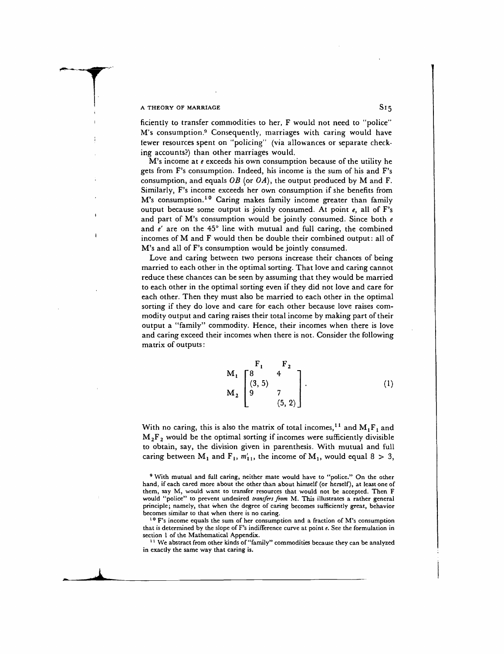#### A THEORY OF MARRIAGE SIS

ficiently to transfer commodities to her, F would not need to "police" M's consumption.9 Consequently, marriages with caring would have fewer resources spent on "policing" (via allowances or separate checking accounts?) than other marriages would.

 $M$ 's income at  $e$  exceeds his own consumption because of the utility he gets from F's consumption. Indeed, his income is the sum of his and F's consumption, and equals  $OB$  (or  $OA$ ), the output produced by M and F. Similarly, F's income exceeds her own consumption if she benefits from M's consumption.<sup>10</sup> Caring makes family income greater than family output because some output is jointly consumed. At point  $e$ , all of  $F$ 's and part of M's consumption would be jointly consumed. Since both  $e$ and  $e'$  are on the 45 $^{\circ}$  line with mutual and full caring, the combined incomes of M and F would then be double their combined output: all of M's and all of F's consumption would be jointly consumed.

Love and caring between two persons increase their chances of being married to each other in the optimal sorting. That love and caring cannot reduce these chances can be seen by assuming that they would be married to each other in the optimal sorting even if they did not love and care for each other. Then they must also be married to each other in the optimal sorting if they do love and care for each other because love raises commodity output and caring raises their total income by making part of their output a "family" commodity. Hence, their incomes when there is love and caring exceed their incomes when there is not. Consider the following matrix of outputs:

$$
\mathbf{M}_{1} \begin{bmatrix} \mathbf{F}_{1} & \mathbf{F}_{2} \\ 0 & 4 \\ 9 & 7 \\ 6 & 5, 2 \end{bmatrix} .
$$
 (1)

With no caring, this is also the matrix of total incomes,<sup>11</sup> and  $M_1F_1$  and  $M_2F_2$  would be the optimal sorting if incomes were sufficiently divisible to obtain, say, the division given in parenthesis. With mutual and full caring between  $M_1$  and  $F_1$ ,  $m'_{11}$ , the income of  $M_1$ , would equal  $8 > 3$ ,

that is determined by the slope of F's indifference curve at point e. See the formulation in section 1 of the Mathematical Appendix.

<sup>11</sup> We abstract from other kinds of "family" commodities because they can be analyzed in exactly the same way that caring is.

With mutual and full caring, neither mate would have to "police." On the other hand, if each cared more about the other than about himself (or herself), at least one of them, say M, would want to transfer resources that would not be accepted. Then F would "police" to prevent undesired transfers from M. This illustrates a rather general principle; namely, that when the degree of caring becomes sufficiently great, behavior becomes similar to that when there is no caring.<br><sup>10</sup> F's income equals the sum of her consumption and a fraction of M's consumption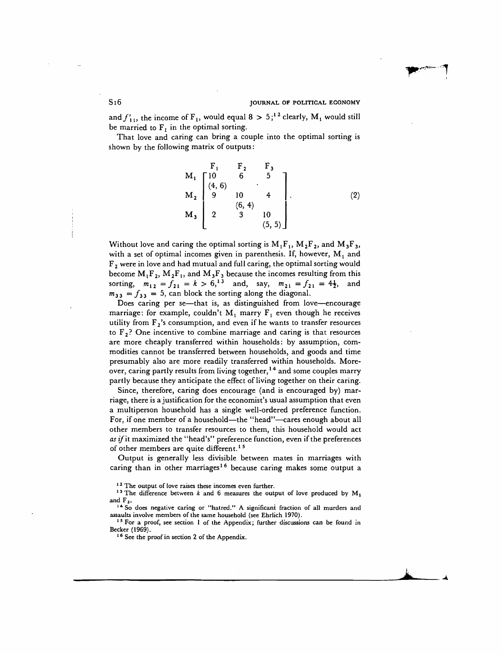and  $f'_{11}$ , the income of  $F_1$ , would equal  $8 > 5$ ;<sup>12</sup> clearly,  $M_1$  would still be married to  $F$ , in the optimal sorting.

That love and caring can bring a couple into the optimal sorting is shown by the following matrix of outputs:

$$
M_{1}\begin{bmatrix}F_{1} & F_{2} & F_{3} \ (4,6) & . & . \ 9 & 10 & 4 \ 4 & 2 & 3 & 10 \ 6 & 5 & 10 & 6 \ 7 & 2 & 3 & 10 \ 7 & 2 & 3 & 10 \ 7 & 2 & 3 & 10 \ 7 & 2 & 3 & 10 \ 7 & 2 & 3 & 10 \end{bmatrix}.
$$
 (2)

Without love and caring the optimal sorting is  $M_1F_1$ ,  $M_2F_2$ , and  $M_3F_3$ , with a set of optimal incomes given in parenthesis. If, however,  $\mathbf{M}_1$  and F<sub>2</sub> were in love and had mutual and full caring, the optimal sorting would become  $M_1F_2$ ,  $M_2F_1$ , and  $M_3F_3$  because the incomes resulting from this sorting,  $m_{12} = f_{21} = k > 6,13$  and, say,  $m_{21} = f_{21} = 4\frac{1}{2}$ , and  $m_{33} = f_{33} = 5$ , can block the sorting along the diagonal. Without love and caring the optimal sorting is  $M_1F_1$ ,  $M_2F_2$ , an<br>with a set of optimal incomes given in parenthesis. If, however,<br> $F_2$  were in love and had mutual and full caring, the optimal sorti:<br>become  $M_1F_2$ ,

Does caring per se—that is, as distinguished from love—encourage marriage: for example, couldn't  $M_1$  marry  $F_1$  even though he receives utility from  $F_2$ 's consumption, and even if he wants to transfer resources to  $F<sub>2</sub>$ ? One incentive to combine marriage and caring is that resources are more cheaply transferred within households: by assumption, commodities cannot be transferred between households, and goods and time presumably also are more readily transferred within households. Moreover, caring partly results from living together,<sup>14</sup> and some couples marry partly because they anticipate the effect of living together on their caring.

Since, therefore, caring does encourage (and is encouraged by) marriage, there is a justification for the economist's usual assumption that even a multiperson household has a single well-ordered preference function. For, if one member of a household—the "head"—cares enough about all other members to transfer resources to them, this household would act as if it maximized the "head's" preference function, even if the preferences of other members are quite different.<sup>15</sup>

Output is generally less divisible between mates in marriages with caring than in other marriages<sup>16</sup> because caring makes some output a

<sup>12</sup> The output of love raises these incomes even further.

<sup>13</sup> The difference between k and 6 measures the output of love produced by  $M_1$ and  $F_2$ .

14 So does negative caring or "hatred." A significani fraction of all murders and assaults involve members of the same household (see Ehrlich 1970).

<sup>15</sup> For a proof, see section 1 of the Appendix; further discussions can be found in Becker (1969).

16 See the proof in section 2 of the Appendix.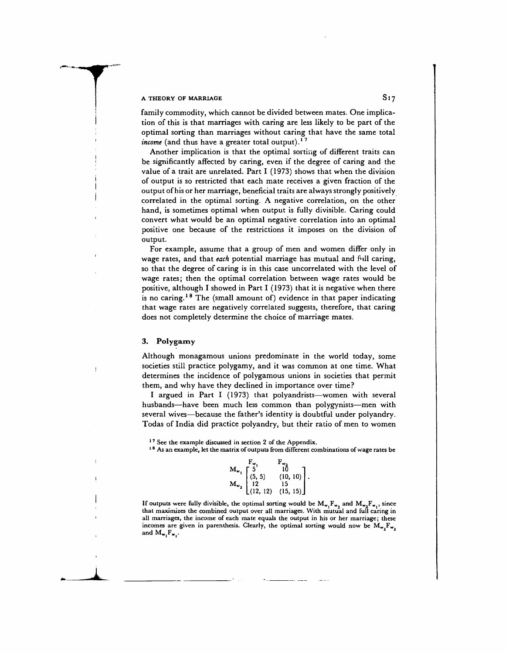## A THEORY OF MARRIAGE STRAINING STRAINING STRAINING STRAINING STRAINING STRAINING STRAINING STRAINING STRAINING STRAINING STRAINING STRAINING STRAINING STRAINING STRAINING STRAINING STRAINING STRAINING STRAINING STRAINING S

family commodity, which cannot be divided between mates. One implication of this is that marriages with caring are less likely to be part of the optimal sorting than marriages without caring that have the same total *income* (and thus have a greater total output).<sup>17</sup>

Another implication is that the optimal sorting of different traits can be significantly affected by caring, even if the degree of caring and the value of a trait are unrelated. Part I (1973) shows that when the division of output is so restricted that each mate receives a given fraction of the output of his or her marriage, beneficial traits are always strongly positively correlated in the optimal sorting. A negative correlation, on the other hand, is sometimes optimal when output is fully divisible. Caring could convert what would be an optimal negative correlation into an optimal positive one because of the restrictions it imposes on the division of output.

For example, assume that a group of men and women differ only in wage rates, and that each potential marriage has mutual and full caring, so that the degree of caring is in this case uncorrelated with the level of wage rates; then the optimal correlation between wage rates would be positive, although I showed in Part I (1973) that it is negative when there is no caring.<sup>18</sup> The (small amount of) evidence in that paper indicating that wage rates are negatively correlated suggests, therefore, that caring does not completely determine the choice of marriage mates.

# 3. Polygamy

Although monagamous unions predominate in the world today, some societies still practice polygamy, and it was common at one time. What determines the incidence of polygamous unions in societies that permit them, and why have they declined in importance over time?

I argued in Part I (1973) that polyandrists—women with several husbands—have been much less common than polygynists—men with several wives—because the father's identity is doubtful under polyandry. Todas of India did practice polyandry, but their ratio of men to women

<sup>17</sup> See the example discussed in section 2 of the Appendix.<br><sup>18</sup> As an example, let the matrix of outputs from different combinations of wage rates be

See the example, let the matrix of outputs from different combinations of wage rates be  
\n
$$
M_{w_1} = \begin{bmatrix} F_{w_1} & F_{w_2} \\ 5 & 10 \\ 6, 5 & 10 \end{bmatrix}
$$
\n
$$
M_{w_2} = \begin{bmatrix} F_{w_1} & F_{w_2} \\ 5 & 10 \\ 12 & 15 \end{bmatrix}
$$
\nIf outputs were fully divisible, the optimal sorting would be  $M_{w_1}F_{w_2}$  and  $M_{w_2}F_{w_1}$ , since

that maximizes the combined output over all marriages. With mutual and full caring in all marriages, the income of each mate equals the output in his or her marriage; these incomes are given in parenthesis. Clearly, the optimal sorting would now be  $M_{w_2}F_{w_2}$  and  $M_{w_1}F_{w_2}$ .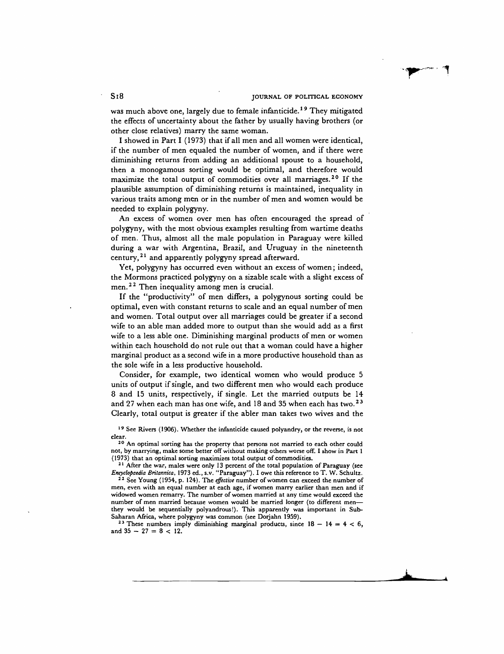was much above one, largely due to female infanticide.<sup>19</sup> They mitigated the effects of uncertainty about the father by usually having brothers (or other close relatives) marry the same woman.

I showed in Part I (1973) that if all men and all women were identical, if the number of men equaled the number of women, and if there were diminishing returns from adding an additional spouse to a household, then a monogamous sorting would be optimal, and therefore would maximize the total output of commodities over all marriages.20 If the plausible assumption of diminishing returns is maintained, inequality in various traits among men or in the number of men and women would be needed to explain polygyny.

An excess of women over men has often encouraged the spread of polygyny, with the most obvious examples resulting from wartime deaths of men. Thus, almost all the male population in Paraguay were killed during a war with Argentina, Brazil, and Uruguay in the nineteenth century,<sup>21</sup> and apparently polygyny spread afterward.

Yet, polygyny has occurred even without an excess of women; indeed, the Mormons practiced polygyny on a sizable scale with a slight excess of men.<sup>22</sup> Then inequality among men is crucial.

If the "productivity" of men differs, a polygynous sorting could be optimal, even with constant returns to scale and an equal number of men and women. Total output over all marriages could be greater if a second wife to an able man added more to output than she would add as a first wife to a less able one. Diminishing marginal products of men or women within each household do not rule out that a woman could have a higher marginal product as a second wife in a more productive household than as the sole wife in a less productive household.

Consider, for example, two identical women who would produce 5 units of output if single, and two different men who would each produce 8 and 15 units, respectively, if single. Let the married outputs be 14 and 27 when each man has one wife, and 18 and 35 when each has two.<sup>23</sup> Clearly, total output is greater if the abler man takes two wives and the

<sup>19</sup> See Rivers (1906). Whether the infanticide caused polyandry, or the reverse, is not clear.

<sup>20</sup> An optimal sorting has the property that persons not married to each other could not, by marrying, make some better off without making others worse off. I show in Part 1 (1973) that an optimal sorting maximizes total output of commodities.

 $21$  After the war, males were only 13 percent of the total population of Paraguay (see Encyclopaedia Britannica, 1973 ed., s.v. "Paraguay"). I owe this reference to T. W. Schultz.

 $22$  See Young (1954, p. 124). The *effective* number of women can exceed the number of men, even with an equal number at each age, if women marry earlier than men and if widowed women remarry. The number of women married at any time would exceed the number of men married because women would be married longer (to different men they would be sequentially polyandrous!). This apparently was important in Sub. Saharan Africa, where polygyny was common (see Dorjahn 1959).

<sup>23</sup> These numbers imply diminishing marginal products, since  $18 - 14 = 4 < 6$ , and  $35 - 27 = 8 < 12$ .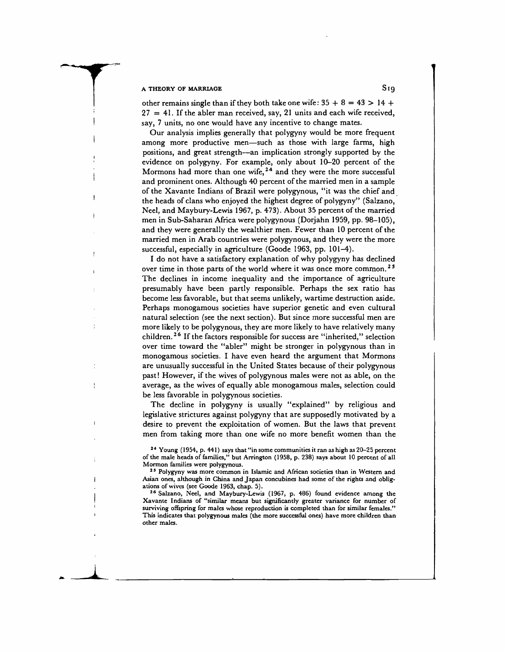# A THEORY OF MARRIAGE S19

other remains single than if they both take one wife:  $35 + 8 = 43 > 14 +$  $27 = 41$ . If the abler man received, say, 21 units and each wife received, say, 7 units, no one would have any incentive to change mates.

Our analysis implies generally that polygyny would be more frequent among more productive men—such as those with large farms, high positions, and great strength—an implication strongly supported by the evidence on polygyny. For example, only about 10—20 percent of the Mormons had more than one wife,<sup>24</sup> and they were the more successful and prominent ones. Although 40 percent of the married men in a sample of the Xavante Indians of Brazil were polygynous, "it was the chief and the heads of clans who enjoyed the highest degree of polygyny" (Salzano, Ned, and Maybury-Lewis 1967, p. 473). About 35 percent of the married men in Sub-Saharan Africa were polygynous (Dorjahn 1959, pp. 98—105), and they were generally the wealthier men. Fewer than 10 percent of the married men in Arab countries were polygynous, and they were the more successful, especially in agriculture (Goode 1963, pp. 101—4).

I do not have a satisfactory explanation of why polygyny has declined over time in those parts of the world where it was once more common.<sup>25</sup> The declines in income inequality and the importance of agriculture presumably have been partly responsible. Perhaps the sex ratio has become less favorable, but that seems unlikely, wartime destruction aside. Perhaps monogamous societies have superior genetic and even cultural natural selection (see the next section). But since more successful men are more likely to be polygynous, they are more likely to have relatively many children.26 If the factors responsible for success are "inherited," selection over time toward the "abler" might be stronger in polygynous than in monogamous societies. I have even heard the argument that Mormons are unusually successful in the United States because of their polygynous past! However, if the wives of polygynous males were not as able, on the average, as the wives of equally able monogamous males, selection could be less favorable in polygynous societies.

The decline in polygyny is usually "explained" by religious and legislative strictures against polygyny that are supposedly motivated by a desire to prevent the exploitation of women. But the laws that prevent men from taking more than one wife no more benefit women than the

<sup>24</sup> Young (1954, P. 441) says that "in some communities it ran ashigh as 20—25 percent of the male heads of families," but Arrington (1958, p. 238) says about 10 percent of all Mormon families were polygynous.

<sup>25</sup> Polygyny was more common in Islamic and African societies than in Western and Asian ones, although in China and Japan concubines had some of the rights and oblig-

<sup>26</sup> Salzano, Neel, and Maybury-Lewis (1967, p. 486) found evidence among the Xavante Indians of "similar means but significantly greater variance for number of surviving offspring for males whose reproduction is completed than for similar females." This indicates that polygynous males (the more successful ones) have more children than other males.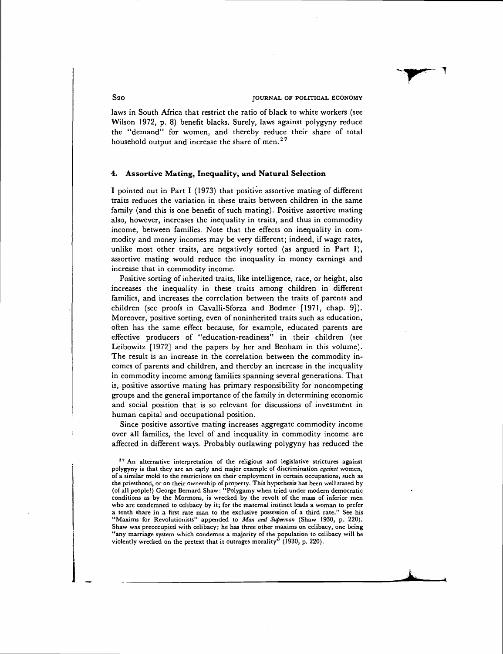laws in South Africa that restrict the ratio of black to white workers (see Wilson 1972, p. 8) benefit blacks. Surely, laws against polygyny reduce the "demand" for women, and thereby reduce their share of total household output and increase the share of men.27

# 4. Assortive Mating, Inequality, and Natural Selection

I pointed out in Part I (1973) that positive assortive mating of different traits reduces the variation in these traits between children in the same family (and this is one benefit of such mating). Positive assortive mating also, however, increases the inequality in traits, and thus in commodity income, between families. Note that the effects on inequality in commodity and money incomes may be very different; indeed, if wage rates, unlike most other traits, are negatively sorted (as argued in Part I), assortive mating would reduce the inequality in money earnings and increase that in commodity income.

Positive sorting of inherited traits, like intelligence, race, or height, also increases the inequality in these traits among children in different families, and increases the correlation between the traits of parents and children (see proofs in Cavalli-Sforza and Bodmer [1971, chap. 9]). Moreover, positive sorting, even of noninherited traits such as education, often has the same effect because, for example, educated parents are effective producers of "education-readiness" in their children (see Leibowitz [1972] and the papers by her and Benham in this volume). The result is an increase in the correlation between the commodity incomes of parents and children, and thereby an increase in the inequality in commodity income among families spanning several generations. That is, positive assortive mating has primary responsibility for noncompeting groups and the general importance of the family in determining economic and social position that is so relevant for discussions of investment in human capital and occupational position.

Since positive assortive mating increases aggregate commodity income over all families, the level of and inequality in commodity income are affected in different ways. Probably outlawing polygyny has reduced the

<sup>&</sup>lt;sup>27</sup> An alternative interpretation of the religious and legislative strictures against polygyny is that they are an early and major example of discrimination against women, of a similar mold to the restrictions on their employment in certain occupations, such as the priesthood, or on their ownership of property. This hypothesis has been well stated by (of all people!) George Bernard Shaw: "Polygamy when tried under modern democratic conditions as by the Mormons, is wrecked by the revolt of the mass of inferior men who are condemned to celibacy by it; for the maternal instinct leads a woman to prefer a tenth share in a first rate man to the exclusive possession of a third rate." See his "Maxims for Revolutionists" appended to Man and Superman (Shaw 1930, p. 220). Shaw was preoccupied with celibacy; he has three other maxims on celibacy, one being "any marriage system which condemns a majority of the population to celibacy will be violently wrecked on the pretext that it outrages morality" (1930, p. 220).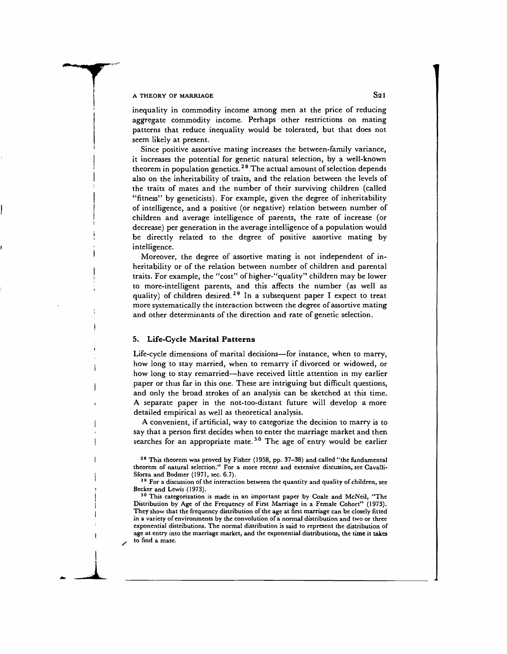## A THEORY OF MARRIAGE S21

inequality in commodity income among men at the price of reducing aggregate commodity income. Perhaps other restrictions on mating patterns that reduce inequality would be tolerated, but that does not seem likely at present.

Since positive assortive mating increases the between-family variance, it increases the potential for genetic natural selection, by a well-known theorem in population genetics.28 The actual amount of selection depends also on the inheritability of traits, and the relation between the levels of the traits of mates and the number of their surviving children (called "fitness" by geneticists). For example, given the degree of inheritability of intelligence, and a positive (or negative) relation between number of children and average intelligence of parents, the rate of increase (or decrease) per generation in the average intelligence of a population would be directly related to the degree of positive assortive mating by intelligence.

Moreover, the degree of assortive mating is not independent of inheritability or of the relation between number of children and parental traits. For example, the "cost" of higher-"quality" children may be lower to more-intelligent parents, and this affects the number (as well as quality) of children desired.<sup>29</sup> In a subsequent paper I expect to treat more systematically the interaction between the degree of assortive mating and other determinants of the direction and rate of genetic selection.

# 5. Life-Cycle Marital Patterns

Life-cycle dimensions of marital decisions—for instance, when to marry, how long to stay married, when to remarry if divorced or widowed, or how long to stay remarried—have received little attention in my earlier paper or thus far in this one. These are intriguing but difficult questions, and only the broad strokes of an analysis can be sketched at this time. A separate paper in the not-too-distant future will develop a more detailed empirical as well as theoretical analysis.

A convenient, if artificial, way to categorize the decision to marry is to say that a person first decides when to enter the marriage market and then searches for an appropriate mate.<sup>30</sup> The age of entry would be earlier 1

<sup>28</sup> This theorem was proved by Fisher (1958, pp. 37—38) and called "the fundamental theorem of natural selection." For a more recent and extensive discussion, see Cavalli-Sforza and Bodmer (1971, sec. 6.7).

 $39$  For a discussion of the interaction between the quantity and quality of children, see.<br>Becker and Lewis (1973).

age at entry int<br>to find a mate. <sup>30</sup> This categorization is made in an important paper by Coale and McNeil, "The Distribution by Age of the Frequency of First Marriage in a Female Cohort" (1973). They show that the frequency distribution of the age at first marriage can be closely fitted in a variety of environments by the convolution of a normal distribution and two or three exponential distributions. The normal distribution is said to represent the distribution of age at entry into the marriage market, and the exponential distributions, the time it takes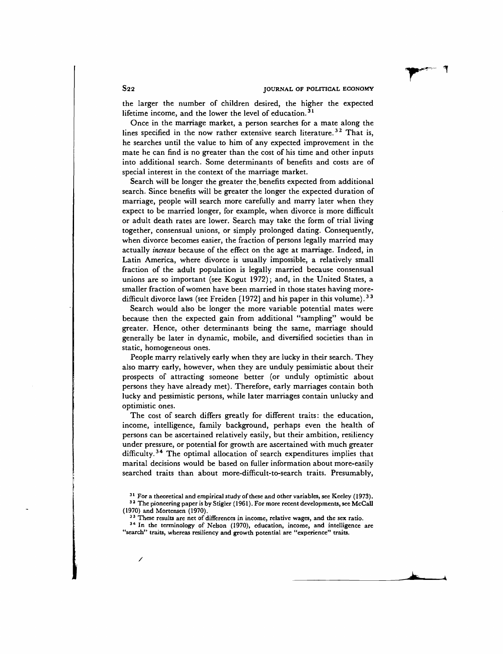the larger the number of children desired, the higher the expected lifetime income, and the lower the level of education.<sup>31</sup>

Once in the marriage market, a person searches for a mate along the lines specified in the now rather extensive search literature.<sup>32</sup> That is, he searches until the value to him of any expected improvement in the mate he can find is no greater than the cost of his time and other inputs into additional search. Some determinants of benefits and costs are of special interest in the context of the marriage market.

Search will be longer the greater the benefits expected from additional search. Since benefits will be greater the longer the expected duration of marriage, people will search more carefully and marry later when they expect to be married longer, for example, when divorce is more difficult or adult death rates are lower. Search may take the form of trial living together, consensual unions, or simply prolonged dating. Consequently, when divorce becomes easier, the fraction of persons legally married may actually increase because of the effect on the age at marriage. Indeed, in Latin America, where divorce is usually impossible, a relatively small fraction of the adult population is legally married because consensual unions are so important (see Kogut 1972); and, in the United States, a smaller fraction of women have been married in those states having moredifficult divorce laws (see Freiden  $[1972]$  and his paper in this volume).<sup>33</sup>

Search would also be longer the more variable potential mates were because then the expected gain from additional "sampling" would be greater. Hence, other determinants being the same, marriage should generally be later in dynamic, mobile, and diversified societies than in static, homogeneous ones.

People marry relatively early when they are lucky in their search. They also marry early, however, when they are unduly pessimistic about their prospects of attracting someone better (or unduly optimistic about persons they have already met). Therefore, early marriages contain both lucky and pessimistic persons, while later marriages contain unlucky and optimistic ones.

The cost of search differs greatly for different traits: the education, income, intelligence, family background, perhaps even the health of persons can be ascertained relatively easily, but their ambition, resiliency under pressure, or potential for growth are ascertained with much greater difficulty.<sup>34</sup> The optimal allocation of search expenditures implies that marital decisions would be based on fuller information about more-easily searched traits than about more-difficult-to-search traits. Presumably,

/

<sup>&</sup>lt;sup>31</sup> For a theoretical and empirical study of these and other variables, see Keeley (1973).  $3^2$  The pioneering paper is by Stigler (1961). For more recent developments, see McCall

<sup>(1970)</sup> and Mortensen (1970).

<sup>&</sup>lt;sup>33</sup> These results are net of differences in income, relative wages, and the sex ratio.

<sup>&</sup>lt;sup>34</sup> In the terminology of Nelson (1970), education, income, and intelligence are "search" traits, whereas resiliency and growth potential are "experience" traits.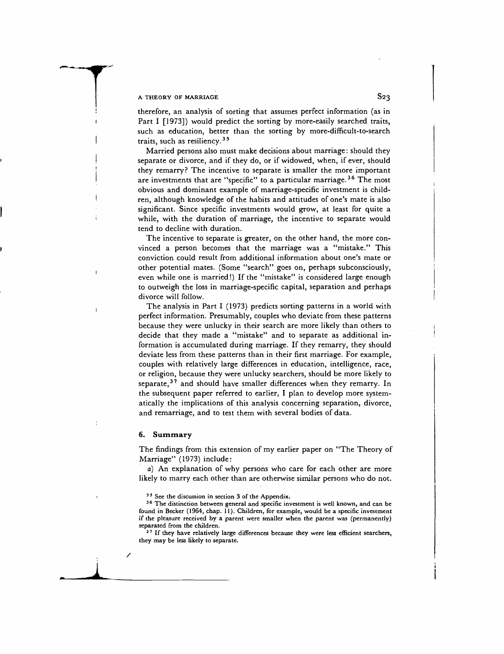# A THEORY OF MARRIAGE  $S_{23}$

therefore, an analysis of sorting that assumes perfect information (as in Part I [1973]) would predict the sorting by more-easily searched traits, such as education, better than the sorting by more-difficult-to-search traits, such as resiliency.35

Married persons also must make decisions about marriage: should they separate or divorce, and if they do, or if widowed, when, if ever, should they remarry? The incentive to separate is smaller the more important are investments that are "specific" to a particular marriage.<sup>36</sup> The most obvious and dominant example of marriage-specific investment is children, although knowledge of the habits and attitudes of one's mate is also significant. Since specific investments would grow, at least for quite a while, with the duration of marriage, the incentive to separate would tend to decline with duration.

The incentive to separate is greater, on the other hand, the more convinced a person becomes that the marriage was a "mistake." This conviction could result from additional information about one's mate or other potential mates. (Some "search" goes on, perhaps subconsciously, even while one is married!) If the "mistake" is considered large enough to outweigh the loss in marriage-specific capital, separation and perhaps divorce will follow.

The analysis in Part I (1973) predicts sorting patterns in a world with perfect information. Presumably, couples who deviate from these patterns because they were unlucky in their search are more likely than others to decide that they made a "mistake" and to separate as additional information is accumulated during marriage. If they remarry, they should deviate less from these patterns than in their first marriage. For example, couples with relatively large differences in education, intelligence, race, or religion, because they were unlucky searchers, should be more likely to separate, $37$  and should have smaller differences when they remarry. In the subsequent paper referred to earlier, I plan to develop more systematically the implications of this analysis concerning separation, divorce, and remarriage, and to test them with several bodies of data.

#### 6. Summary

∕

The findings from this extension of my earlier paper on "The Theory of Marriage" (1973) include:

a) An explanation of why persons who care for each other are more likely to marry each other than are otherwise similar persons who do not.

 $35$  See the discussion in section 3 of the Appendix.<br><sup>36</sup> The distinction between general and specific investment is well known, and can be found in Becker (1964, chap. 1 1). Children, for example, would be a specific investment if the pleasure received by a parent were smaller when the parent was (permanently) separated from the children.<br><sup>37</sup> If they have relatively large differences because they were less efficient searchers,

they may be less likely to separate.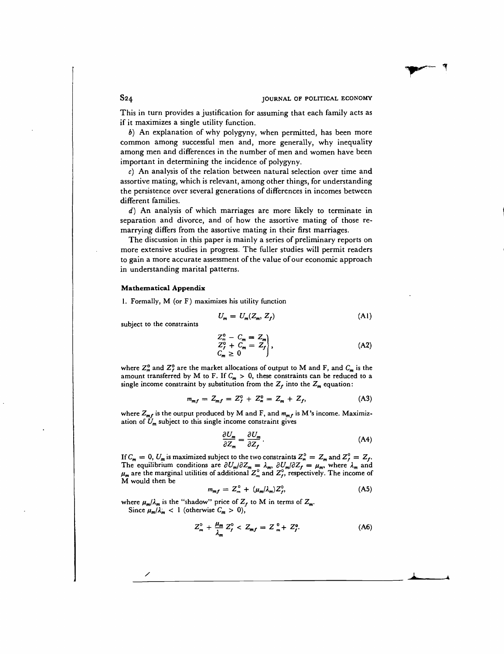This in turn provides a justification for assuming that each family acts as if it maximizes a single utility function.

b) An explanation of why polygyny, when permitted, has been more common among successful men and, more generally, why inequality among men and differences in the number of men and women have been important in determining the incidence of polygyny.

 $c)$  An analysis of the relation between natural selection over time and assortive mating, which is relevant, among other things, for understanding the persistence over several generations of differences in incomes between different families.

d) An analysis of which marriages are more likely to terminate in separation and divorce, and of how the assortive mating of those remarrying differs from the assortive mating in their first marriages.

The discussion in this paper is mainly a series of preliminary reports on more extensive studies in progress. The fuller studies will permit readers to gain a more accurate assessment of the value of our economic approach in understanding marital patterns.

# Mathematical Appendix

1. Formally, M (or F) maximizes his utility function

$$
U_m = U_m(Z_m, Z_f) \tag{A1}
$$

subject to the constraints

$$
\begin{array}{l}\nZ_m^0 - C_m = Z_m \\
Z_f^0 + C_m = Z_f \\
C_m \geq 0\n\end{array},\n\tag{A2}
$$

where  $Z_m^0$  and  $Z_r^0$  are the market allocations of output to M and F, and  $C_m$  is the amount transferred by M to F. If  $C_m > 0$ , these constraints can be reduced to a single income constraint by substitution from the  $Z_f$  into the  $Z_m$  equation:

$$
m_{mf} = Z_{mf} = Z_f^0 + Z_m^0 = Z_m + Z_f, \tag{A3}
$$

where  $Z_{mf}$  is the output produced by M and F, and  $m_{mf}$  is M's income. Maximization of  $U_m$  subject to this single income constraint gives

$$
\frac{\partial U_m}{\partial Z_m} = \frac{\partial U_m}{\partial Z_f} \tag{A4}
$$

If  $C_m = 0$ ,  $U_m$  is maximized subject to the two constraints  $Z_m^0 = Z_m$  and  $Z_f^0 = Z_f$ . The equilibrium conditions are  $\partial U_m/\partial Z_m = \lambda_m$ ,  $\partial U_m/\partial Z_f = \mu_m$ , where  $\lambda_m$  and  $\mu_m$  are the marginal utilities of additional  $Z_m^{\circ}$  and  $Z_f^{\circ}$ , respectively. The income of M would then be

$$
m_{mf} = Z_m^0 + (\mu_m/\lambda_m) Z_f^0, \tag{A5}
$$

where  $\mu_m/\lambda_m$  is the "shadow" price of  $Z_f$  to M in terms of  $Z_m$ .

Since  $\mu_m/\lambda_m < 1$  (otherwise  $C_m > 0$ ),

$$
Z_{m}^{0} + \frac{\mu_{m}}{\lambda_{m}} Z_{f}^{0} < Z_{mf} = Z_{m}^{0} + Z_{f}^{0}.
$$
 (A6)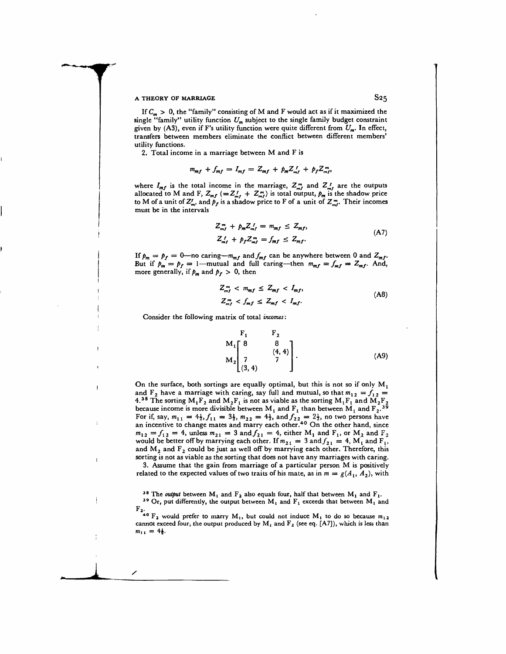## A THEORY OF MARRIAGE S25

If  $C_m > 0$ , the "family" consisting of M and F would act as if it maximized the single "family" utility function  $U_m$  subject to the single family budget constraint given by  $(A3)$ , even if F's utility function were quite different from  $U_m$ . In effect, transfers between members eliminate the conflict between different members' utility functions.

2. Total income in a marriage between M and F is

$$
m_{mf} + f_{mf} = I_{mf} = Z_{mf} + p_m Z_{mf}^{\, \prime} + p_f Z_{mf}^{\, m},
$$

where  $I_{mf}$  is the total income in the marriage,  $Z_{mf}^m$  and  $Z_{mf}^f$  are the outputs allocated to M and F,  $Z_{mf}$  (= $Z_{mf}$  +  $Z_{mf}$ ) is total output,  $p_m$  is the shadow price to M of a unit of  $Z'_m$ , and  $p_f$  is a shadow price to F of a unit of  $Z^m_{m'}$ . Their incomes must be in the intervals

$$
Z_{mf}^{m} + p_{m} Z_{mf}^{J} = m_{mf} \le Z_{mf},
$$
  
\n
$$
Z_{mf}^{J} + p_{f} Z_{mf}^{m} = f_{mf} \le Z_{mf}.
$$
\n(A7)

If  $p_m = p_f = 0$  no caring  $-m_{mf}$  and  $f_{mf}$  can be anywhere between 0 and  $Z_{mf}$ . But if  $p_m = p_f = 1$ —mutual and full caring—then  $m_{mf} = f_{mf} = Z_{mf}$ . And, more generally, if  $p_m$  and  $p_f > 0$ , then

$$
Z_{mf}^m < m_{mf} \le Z_{mf} < I_{mf},
$$
\n
$$
Z_{mf}^m < f_{mf} \le Z_{mf} < I_{mf}.
$$
\n(A8)

Consider the following matrix of total incomes:

/

İ

 $\overline{\mathbf{I}}$ 

 $\mathbf{I}$ 

$$
F_1 \tF_2\nM_1 \tB \t8 \t8 \t(4, 4)\nM_2 \t(7 \t(3, 4)
$$
\n(A9)

On the surface, both sortings are equally optimal, but this is not so if only  $M_1$ and F<sub>2</sub> have a marriage with caring, say full and mutual, so that  $m_{12} = f_{12}$ 4.<sup>38</sup> The sorting  $M_1F_2$  and  $M_2F_1$  is not as viable as the sorting  $M_1F_1$  and  $M_2F_2$ because income is more divisible between  $M_1$  and  $F_1$  than between  $M_1$  and  $F_2$ .<sup>35</sup> For if, say,  $m_{11} = 4\frac{1}{2}$ ,  $f_{11} = 3\frac{1}{2}$ ,  $m_{22} = 4\frac{1}{2}$ , and  $f_{22} = 2\frac{1}{2}$ , no two persons have an incentive to change mates and marry each other.<sup>40</sup> On the other hand, since  $m_{12} = f_{12} = 4$ , unless  $m_{21} = 3$  and  $f_{21} = 4$ , either  $M_1$  and  $F_1$ , or  $M_2$  and  $F_2$ would be better off by marrying each other. If  $m_{21} = 3$  and  $f_{21} = 4$ ,  $M_1$  and  $F_1$ , and  $M_2$  and  $F_2$  could be just as well off by marrying each other. Therefore, this sorting is not as viable as the sorting that does not have any marriages with caring.

3. Assume that the gain from marriage of a particular person M is positively related to the expected values of two traits of his mate, as in  $m = g(A_1, A_2)$ , with

<sup>&</sup>lt;sup>38</sup> The output between M<sub>1</sub> and F<sub>2</sub> also equals four, half that between M<sub>1</sub> and F<sub>1</sub>.

<sup>&</sup>lt;sup>39</sup> Or, put differently, the output between  $M_1$  and  $F_1$  exceeds that between  $M_1$  and  $F_2$ .<br><sup>40</sup>  $F_2$  would prefer to marry M<sub>1</sub>, but could not induce M<sub>1</sub> to do so because  $m_{12}$ 

cannot exceed four, the output produced by  $M_1$  and  $F_2$  (see eq. [A7]), which is less than  $m_{11} = 4\frac{1}{2}$ .